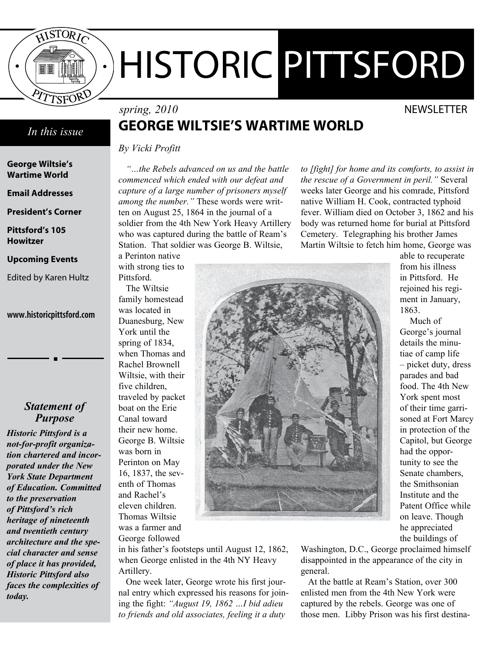

# HISTORIC PITTSFORD

# *In this issue*

**George Wiltsie's Wartime World**

**Email Addresses**

**President's Corner**

**Pittsford's 105 Howitzer**

#### **Upcoming Events**

Edited by Karen Hultz

#### www.historicpittsford.com

# *Statement of Purpose*

*Historic Pittsford is a not-for-profit organization chartered and incorporated under the New York State Department of Education. Committed to the preservation of Pittsford's rich heritage of nineteenth and twentieth century architecture and the special character and sense of place it has provided, Historic Pittsford also faces the complexities of today.*

# *spring, 2010* NEWSLETTER **George Wiltsie's Wartime World**

*By Vicki Profitt*

with strong ties to

*"…the Rebels advanced on us and the battle commenced which ended with our defeat and capture of a large number of prisoners myself among the number."* These words were written on August 25, 1864 in the journal of a soldier from the 4th New York Heavy Artillery who was captured during the battle of Ream's Station. That soldier was George B. Wiltsie, a Perinton native

*to [fight] for home and its comforts, to assist in the rescue of a Government in peril."* Several weeks later George and his comrade, Pittsford native William H. Cook, contracted typhoid fever. William died on October 3, 1862 and his body was returned home for burial at Pittsford Cemetery. Telegraphing his brother James Martin Wiltsie to fetch him home, George was

Pittsford. The Wiltsie family homestead was located in Duanesburg, New York until the spring of 1834, when Thomas and Rachel Brownell Wiltsie, with their five children, traveled by packet boat on the Erie Canal toward their new home. George B. Wiltsie was born in Perinton on May 16, 1837, the seventh of Thomas and Rachel's eleven children. Thomas Wiltsie was a farmer and George followed



in his father's footsteps until August 12, 1862, when George enlisted in the 4th NY Heavy Artillery.

One week later, George wrote his first journal entry which expressed his reasons for joining the fight: *"August 19, 1862 …I bid adieu to friends and old associates, feeling it a duty* 

able to recuperate from his illness in Pittsford. He rejoined his regiment in January, 1863.

 Much of George's journal details the minutiae of camp life – picket duty, dress parades and bad food. The 4th New York spent most of their time garrisoned at Fort Marcy in protection of the Capitol, but George had the opportunity to see the Senate chambers, the Smithsonian Institute and the Patent Office while on leave. Though he appreciated the buildings of

Washington, D.C., George proclaimed himself disappointed in the appearance of the city in general.

At the battle at Ream's Station, over 300 enlisted men from the 4th New York were captured by the rebels. George was one of those men. Libby Prison was his first destina-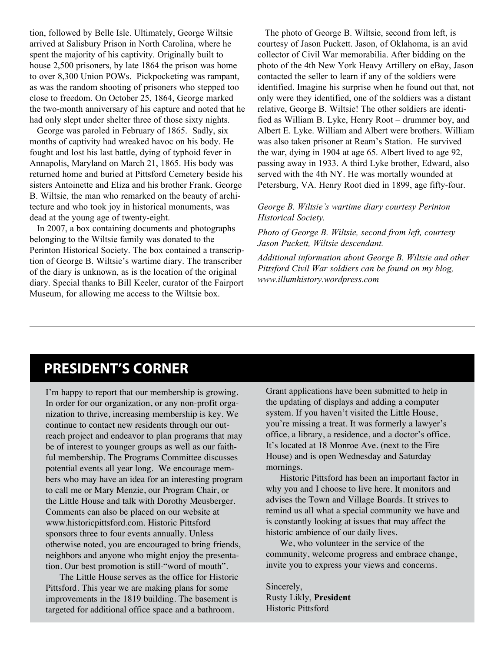tion, followed by Belle Isle. Ultimately, George Wiltsie arrived at Salisbury Prison in North Carolina, where he spent the majority of his captivity. Originally built to house 2,500 prisoners, by late 1864 the prison was home to over 8,300 Union POWs. Pickpocketing was rampant, as was the random shooting of prisoners who stepped too close to freedom. On October 25, 1864, George marked the two-month anniversary of his capture and noted that he had only slept under shelter three of those sixty nights.

George was paroled in February of 1865. Sadly, six months of captivity had wreaked havoc on his body. He fought and lost his last battle, dying of typhoid fever in Annapolis, Maryland on March 21, 1865. His body was returned home and buried at Pittsford Cemetery beside his sisters Antoinette and Eliza and his brother Frank. George B. Wiltsie, the man who remarked on the beauty of architecture and who took joy in historical monuments, was dead at the young age of twenty-eight.

In 2007, a box containing documents and photographs belonging to the Wiltsie family was donated to the Perinton Historical Society. The box contained a transcription of George B. Wiltsie's wartime diary. The transcriber of the diary is unknown, as is the location of the original diary. Special thanks to Bill Keeler, curator of the Fairport Museum, for allowing me access to the Wiltsie box.

The photo of George B. Wiltsie, second from left, is courtesy of Jason Puckett. Jason, of Oklahoma, is an avid collector of Civil War memorabilia. After bidding on the photo of the 4th New York Heavy Artillery on eBay, Jason contacted the seller to learn if any of the soldiers were identified. Imagine his surprise when he found out that, not only were they identified, one of the soldiers was a distant relative, George B. Wiltsie! The other soldiers are identified as William B. Lyke, Henry Root – drummer boy, and Albert E. Lyke. William and Albert were brothers. William was also taken prisoner at Ream's Station. He survived the war, dying in 1904 at age 65. Albert lived to age 92, passing away in 1933. A third Lyke brother, Edward, also served with the 4th NY. He was mortally wounded at Petersburg, VA. Henry Root died in 1899, age fifty-four.

#### *George B. Wiltsie's wartime diary courtesy Perinton Historical Society.*

*Photo of George B. Wiltsie, second from left, courtesy Jason Puckett, Wiltsie descendant.*

*Additional information about George B. Wiltsie and other Pittsford Civil War soldiers can be found on my blog, www.illumhistory.wordpress.com*

# **PRESIDENT'S CORNER**

I'm happy to report that our membership is growing. In order for our organization, or any non-profit organization to thrive, increasing membership is key. We continue to contact new residents through our outreach project and endeavor to plan programs that may be of interest to younger groups as well as our faithful membership. The Programs Committee discusses potential events all year long. We encourage members who may have an idea for an interesting program to call me or Mary Menzie, our Program Chair, or the Little House and talk with Dorothy Meusberger. Comments can also be placed on our website at www.historicpittsford.com. Historic Pittsford sponsors three to four events annually. Unless otherwise noted, you are encouraged to bring friends, neighbors and anyone who might enjoy the presentation. Our best promotion is still-"word of mouth".

The Little House serves as the office for Historic Pittsford. This year we are making plans for some improvements in the 1819 building. The basement is targeted for additional office space and a bathroom.

Grant applications have been submitted to help in the updating of displays and adding a computer system. If you haven't visited the Little House, you're missing a treat. It was formerly a lawyer's office, a library, a residence, and a doctor's office. It's located at 18 Monroe Ave. (next to the Fire House) and is open Wednesday and Saturday mornings.

Historic Pittsford has been an important factor in why you and I choose to live here. It monitors and advises the Town and Village Boards. It strives to remind us all what a special community we have and is constantly looking at issues that may affect the historic ambience of our daily lives.

We, who volunteer in the service of the community, welcome progress and embrace change, invite you to express your views and concerns.

Sincerely, Rusty Likly, **President** Historic Pittsford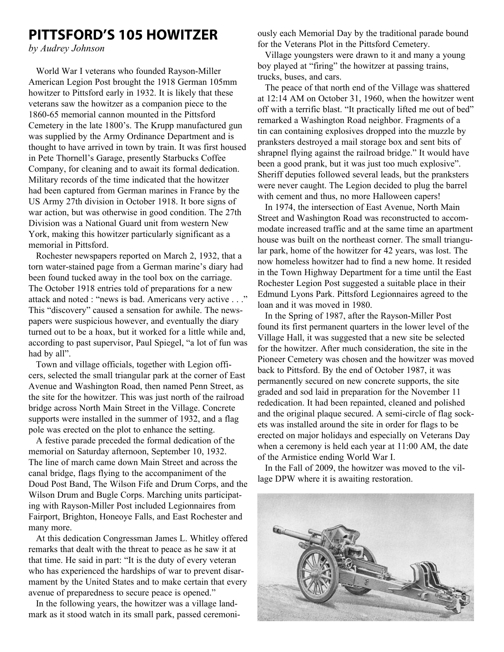# **Pittsford's 105 Howitzer**

*by Audrey Johnson*

World War I veterans who founded Rayson-Miller American Legion Post brought the 1918 German 105mm howitzer to Pittsford early in 1932. It is likely that these veterans saw the howitzer as a companion piece to the 1860-65 memorial cannon mounted in the Pittsford Cemetery in the late 1800's. The Krupp manufactured gun was supplied by the Army Ordinance Department and is thought to have arrived in town by train. It was first housed in Pete Thornell's Garage, presently Starbucks Coffee Company, for cleaning and to await its formal dedication. Military records of the time indicated that the howitzer had been captured from German marines in France by the US Army 27th division in October 1918. It bore signs of war action, but was otherwise in good condition. The 27th Division was a National Guard unit from western New York, making this howitzer particularly significant as a memorial in Pittsford.

Rochester newspapers reported on March 2, 1932, that a torn water-stained page from a German marine's diary had been found tucked away in the tool box on the carriage. The October 1918 entries told of preparations for a new attack and noted : "news is bad. Americans very active . . ." This "discovery" caused a sensation for awhile. The newspapers were suspicious however, and eventually the diary turned out to be a hoax, but it worked for a little while and, according to past supervisor, Paul Spiegel, "a lot of fun was had by all".

Town and village officials, together with Legion officers, selected the small triangular park at the corner of East Avenue and Washington Road, then named Penn Street, as the site for the howitzer. This was just north of the railroad bridge across North Main Street in the Village. Concrete supports were installed in the summer of 1932, and a flag pole was erected on the plot to enhance the setting.

A festive parade preceded the formal dedication of the memorial on Saturday afternoon, September 10, 1932. The line of march came down Main Street and across the canal bridge, flags flying to the accompaniment of the Doud Post Band, The Wilson Fife and Drum Corps, and the Wilson Drum and Bugle Corps. Marching units participating with Rayson-Miller Post included Legionnaires from Fairport, Brighton, Honeoye Falls, and East Rochester and many more.

At this dedication Congressman James L. Whitley offered remarks that dealt with the threat to peace as he saw it at that time. He said in part: "It is the duty of every veteran who has experienced the hardships of war to prevent disarmament by the United States and to make certain that every avenue of preparedness to secure peace is opened."

In the following years, the howitzer was a village landmark as it stood watch in its small park, passed ceremoniously each Memorial Day by the traditional parade bound for the Veterans Plot in the Pittsford Cemetery.

Village youngsters were drawn to it and many a young boy played at "firing" the howitzer at passing trains, trucks, buses, and cars.

The peace of that north end of the Village was shattered at 12:14 AM on October 31, 1960, when the howitzer went off with a terrific blast. "It practically lifted me out of bed" remarked a Washington Road neighbor. Fragments of a tin can containing explosives dropped into the muzzle by pranksters destroyed a mail storage box and sent bits of shrapnel flying against the railroad bridge." It would have been a good prank, but it was just too much explosive". Sheriff deputies followed several leads, but the pranksters were never caught. The Legion decided to plug the barrel with cement and thus, no more Halloween capers!

In 1974, the intersection of East Avenue, North Main Street and Washington Road was reconstructed to accommodate increased traffic and at the same time an apartment house was built on the northeast corner. The small triangular park, home of the howitzer for 42 years, was lost. The now homeless howitzer had to find a new home. It resided in the Town Highway Department for a time until the East Rochester Legion Post suggested a suitable place in their Edmund Lyons Park. Pittsford Legionnaires agreed to the loan and it was moved in 1980.

In the Spring of 1987, after the Rayson-Miller Post found its first permanent quarters in the lower level of the Village Hall, it was suggested that a new site be selected for the howitzer. After much consideration, the site in the Pioneer Cemetery was chosen and the howitzer was moved back to Pittsford. By the end of October 1987, it was permanently secured on new concrete supports, the site graded and sod laid in preparation for the November 11 rededication. It had been repainted, cleaned and polished and the original plaque secured. A semi-circle of flag sockets was installed around the site in order for flags to be erected on major holidays and especially on Veterans Day when a ceremony is held each year at 11:00 AM, the date of the Armistice ending World War I.

In the Fall of 2009, the howitzer was moved to the village DPW where it is awaiting restoration.